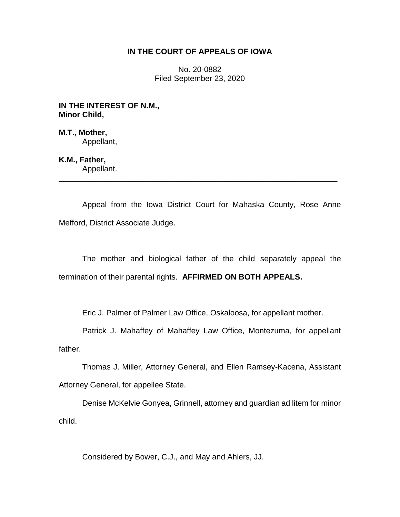## **IN THE COURT OF APPEALS OF IOWA**

No. 20-0882 Filed September 23, 2020

**IN THE INTEREST OF N.M., Minor Child,**

**M.T., Mother,** Appellant,

**K.M., Father,**

Appellant. \_\_\_\_\_\_\_\_\_\_\_\_\_\_\_\_\_\_\_\_\_\_\_\_\_\_\_\_\_\_\_\_\_\_\_\_\_\_\_\_\_\_\_\_\_\_\_\_\_\_\_\_\_\_\_\_\_\_\_\_\_\_\_\_

Appeal from the Iowa District Court for Mahaska County, Rose Anne Mefford, District Associate Judge.

The mother and biological father of the child separately appeal the termination of their parental rights. **AFFIRMED ON BOTH APPEALS.**

Eric J. Palmer of Palmer Law Office, Oskaloosa, for appellant mother.

Patrick J. Mahaffey of Mahaffey Law Office, Montezuma, for appellant father.

Thomas J. Miller, Attorney General, and Ellen Ramsey-Kacena, Assistant Attorney General, for appellee State.

Denise McKelvie Gonyea, Grinnell, attorney and guardian ad litem for minor child.

Considered by Bower, C.J., and May and Ahlers, JJ.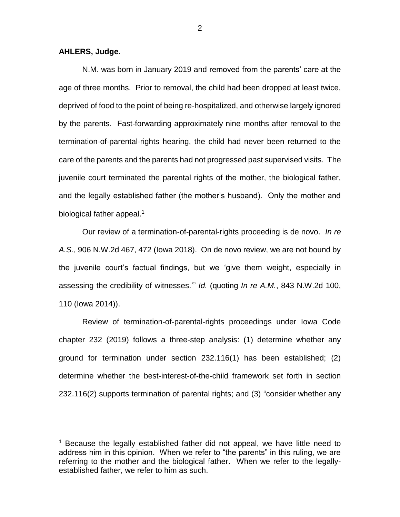**AHLERS, Judge.**

 $\overline{a}$ 

N.M. was born in January 2019 and removed from the parents' care at the age of three months. Prior to removal, the child had been dropped at least twice, deprived of food to the point of being re-hospitalized, and otherwise largely ignored by the parents. Fast-forwarding approximately nine months after removal to the termination-of-parental-rights hearing, the child had never been returned to the care of the parents and the parents had not progressed past supervised visits. The juvenile court terminated the parental rights of the mother, the biological father, and the legally established father (the mother's husband). Only the mother and biological father appeal.<sup>1</sup>

Our review of a termination-of-parental-rights proceeding is de novo. *In re A.S.*, 906 N.W.2d 467, 472 (Iowa 2018). On de novo review, we are not bound by the juvenile court's factual findings, but we 'give them weight, especially in assessing the credibility of witnesses.'" *Id.* (quoting *In re A.M.*, 843 N.W.2d 100, 110 (Iowa 2014)).

Review of termination-of-parental-rights proceedings under Iowa Code chapter 232 (2019) follows a three-step analysis: (1) determine whether any ground for termination under section 232.116(1) has been established; (2) determine whether the best-interest-of-the-child framework set forth in section 232.116(2) supports termination of parental rights; and (3) "consider whether any

<sup>&</sup>lt;sup>1</sup> Because the legally established father did not appeal, we have little need to address him in this opinion. When we refer to "the parents" in this ruling, we are referring to the mother and the biological father. When we refer to the legallyestablished father, we refer to him as such.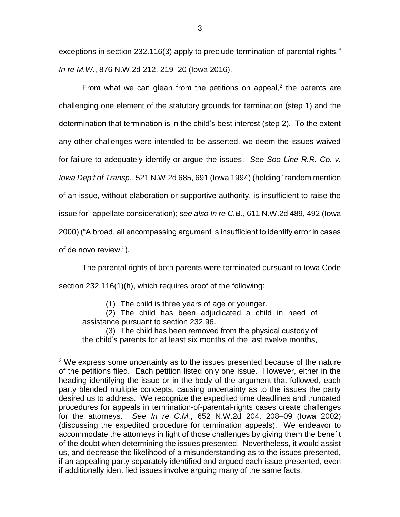exceptions in section 232.116(3) apply to preclude termination of parental rights." *In re M.W.*, 876 N.W.2d 212, 219–20 (Iowa 2016).

From what we can glean from the petitions on appeal, $<sup>2</sup>$  the parents are</sup> challenging one element of the statutory grounds for termination (step 1) and the determination that termination is in the child's best interest (step 2). To the extent any other challenges were intended to be asserted, we deem the issues waived for failure to adequately identify or argue the issues. *See Soo Line R.R. Co. v. Iowa Dep't of Transp.*, 521 N.W.2d 685, 691 (Iowa 1994) (holding "random mention of an issue, without elaboration or supportive authority, is insufficient to raise the issue for" appellate consideration); *see also In re C.B.*, 611 N.W.2d 489, 492 (Iowa 2000) ("A broad, all encompassing argument is insufficient to identify error in cases of de novo review.").

The parental rights of both parents were terminated pursuant to Iowa Code section 232.116(1)(h), which requires proof of the following:

(1) The child is three years of age or younger.

 $\overline{a}$ 

(2) The child has been adjudicated a child in need of assistance pursuant to section 232.96.

(3) The child has been removed from the physical custody of the child's parents for at least six months of the last twelve months,

 $2$  We express some uncertainty as to the issues presented because of the nature of the petitions filed. Each petition listed only one issue. However, either in the heading identifying the issue or in the body of the argument that followed, each party blended multiple concepts, causing uncertainty as to the issues the party desired us to address. We recognize the expedited time deadlines and truncated procedures for appeals in termination-of-parental-rights cases create challenges for the attorneys. *See In re C.M.*, 652 N.W.2d 204, 208–09 (Iowa 2002) (discussing the expedited procedure for termination appeals).We endeavor to accommodate the attorneys in light of those challenges by giving them the benefit of the doubt when determining the issues presented. Nevertheless, it would assist us, and decrease the likelihood of a misunderstanding as to the issues presented, if an appealing party separately identified and argued each issue presented, even if additionally identified issues involve arguing many of the same facts.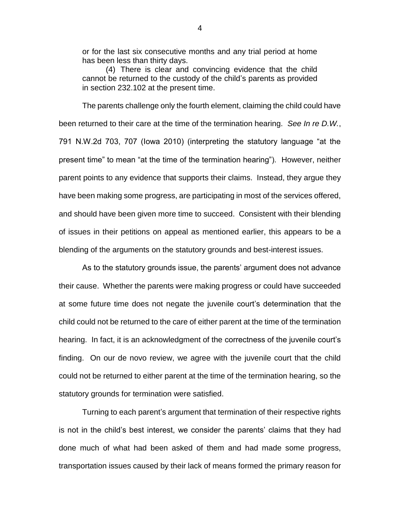or for the last six consecutive months and any trial period at home has been less than thirty days.

(4) There is clear and convincing evidence that the child cannot be returned to the custody of the child's parents as provided in section 232.102 at the present time.

The parents challenge only the fourth element, claiming the child could have been returned to their care at the time of the termination hearing. *See In re D.W.*, 791 N.W.2d 703, 707 (Iowa 2010) (interpreting the statutory language "at the present time" to mean "at the time of the termination hearing"). However, neither parent points to any evidence that supports their claims. Instead, they argue they have been making some progress, are participating in most of the services offered, and should have been given more time to succeed. Consistent with their blending of issues in their petitions on appeal as mentioned earlier, this appears to be a blending of the arguments on the statutory grounds and best-interest issues.

As to the statutory grounds issue, the parents' argument does not advance their cause. Whether the parents were making progress or could have succeeded at some future time does not negate the juvenile court's determination that the child could not be returned to the care of either parent at the time of the termination hearing. In fact, it is an acknowledgment of the correctness of the juvenile court's finding. On our de novo review, we agree with the juvenile court that the child could not be returned to either parent at the time of the termination hearing, so the statutory grounds for termination were satisfied.

Turning to each parent's argument that termination of their respective rights is not in the child's best interest, we consider the parents' claims that they had done much of what had been asked of them and had made some progress, transportation issues caused by their lack of means formed the primary reason for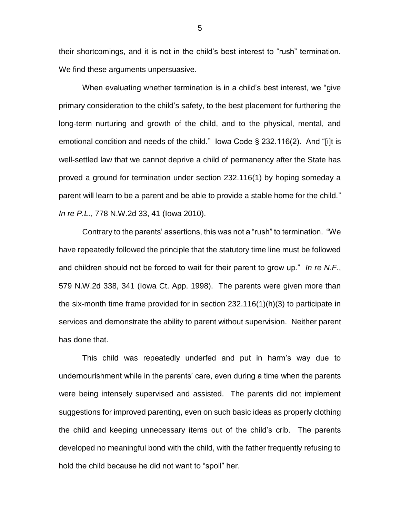their shortcomings, and it is not in the child's best interest to "rush" termination. We find these arguments unpersuasive.

When evaluating whether termination is in a child's best interest, we "give primary consideration to the child's safety, to the best placement for furthering the long-term nurturing and growth of the child, and to the physical, mental, and emotional condition and needs of the child." Iowa Code § 232.116(2). And "[i]t is well-settled law that we cannot deprive a child of permanency after the State has proved a ground for termination under section 232.116(1) by hoping someday a parent will learn to be a parent and be able to provide a stable home for the child." *In re P.L.*, 778 N.W.2d 33, 41 (Iowa 2010).

Contrary to the parents' assertions, this was not a "rush" to termination. "We have repeatedly followed the principle that the statutory time line must be followed and children should not be forced to wait for their parent to grow up." *In re N.F.*, 579 N.W.2d 338, 341 (Iowa Ct. App. 1998). The parents were given more than the six-month time frame provided for in section 232.116(1)(h)(3) to participate in services and demonstrate the ability to parent without supervision. Neither parent has done that.

This child was repeatedly underfed and put in harm's way due to undernourishment while in the parents' care, even during a time when the parents were being intensely supervised and assisted. The parents did not implement suggestions for improved parenting, even on such basic ideas as properly clothing the child and keeping unnecessary items out of the child's crib. The parents developed no meaningful bond with the child, with the father frequently refusing to hold the child because he did not want to "spoil" her.

5